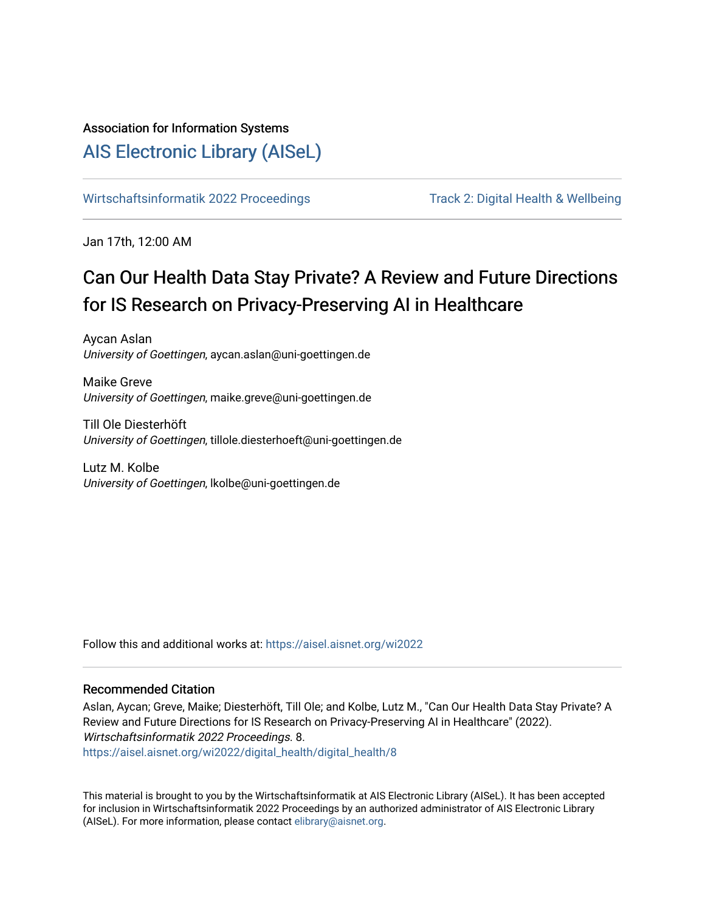## Association for Information Systems

## [AIS Electronic Library \(AISeL\)](https://aisel.aisnet.org/)

[Wirtschaftsinformatik 2022 Proceedings](https://aisel.aisnet.org/wi2022) Track 2: Digital Health & Wellbeing

Jan 17th, 12:00 AM

# Can Our Health Data Stay Private? A Review and Future Directions for IS Research on Privacy-Preserving AI in Healthcare

Aycan Aslan University of Goettingen, aycan.aslan@uni-goettingen.de

Maike Greve University of Goettingen, maike.greve@uni-goettingen.de

Till Ole Diesterhöft University of Goettingen, tillole.diesterhoeft@uni-goettingen.de

Lutz M. Kolbe University of Goettingen, lkolbe@uni-goettingen.de

Follow this and additional works at: [https://aisel.aisnet.org/wi2022](https://aisel.aisnet.org/wi2022?utm_source=aisel.aisnet.org%2Fwi2022%2Fdigital_health%2Fdigital_health%2F8&utm_medium=PDF&utm_campaign=PDFCoverPages) 

#### Recommended Citation

Aslan, Aycan; Greve, Maike; Diesterhöft, Till Ole; and Kolbe, Lutz M., "Can Our Health Data Stay Private? A Review and Future Directions for IS Research on Privacy-Preserving AI in Healthcare" (2022). Wirtschaftsinformatik 2022 Proceedings. 8. [https://aisel.aisnet.org/wi2022/digital\\_health/digital\\_health/8](https://aisel.aisnet.org/wi2022/digital_health/digital_health/8?utm_source=aisel.aisnet.org%2Fwi2022%2Fdigital_health%2Fdigital_health%2F8&utm_medium=PDF&utm_campaign=PDFCoverPages) 

This material is brought to you by the Wirtschaftsinformatik at AIS Electronic Library (AISeL). It has been accepted for inclusion in Wirtschaftsinformatik 2022 Proceedings by an authorized administrator of AIS Electronic Library (AISeL). For more information, please contact [elibrary@aisnet.org](mailto:elibrary@aisnet.org%3E).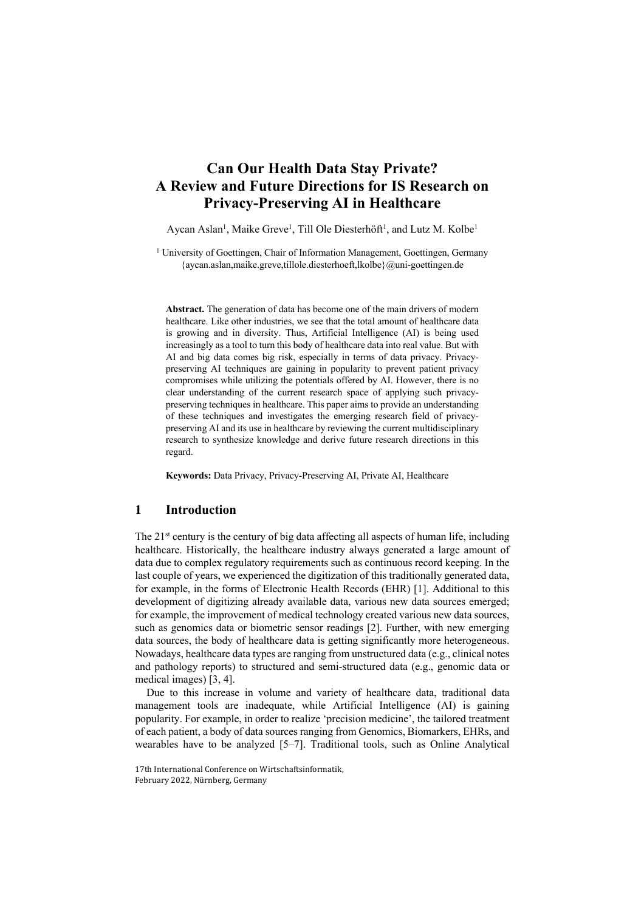## **Can Our Health Data Stay Private? A Review and Future Directions for IS Research on Privacy-Preserving AI in Healthcare**

Aycan Aslan<sup>1</sup>, Maike Greve<sup>1</sup>, Till Ole Diesterhöft<sup>1</sup>, and Lutz M. Kolbe<sup>1</sup>

<sup>1</sup> University of Goettingen, Chair of Information Management, Goettingen, Germany {aycan.aslan,maike.greve,tillole.diesterhoeft,lkolbe}@uni-goettingen.de

**Abstract.** The generation of data has become one of the main drivers of modern healthcare. Like other industries, we see that the total amount of healthcare data is growing and in diversity. Thus, Artificial Intelligence (AI) is being used increasingly as a tool to turn this body of healthcare data into real value. But with AI and big data comes big risk, especially in terms of data privacy. Privacypreserving AI techniques are gaining in popularity to prevent patient privacy compromises while utilizing the potentials offered by AI. However, there is no clear understanding of the current research space of applying such privacypreserving techniques in healthcare. This paper aims to provide an understanding of these techniques and investigates the emerging research field of privacypreserving AI and its use in healthcare by reviewing the current multidisciplinary research to synthesize knowledge and derive future research directions in this regard.

**Keywords:** Data Privacy, Privacy-Preserving AI, Private AI, Healthcare

#### **1 Introduction**

The 21<sup>st</sup> century is the century of big data affecting all aspects of human life, including healthcare. Historically, the healthcare industry always generated a large amount of data due to complex regulatory requirements such as continuous record keeping. In the last couple of years, we experienced the digitization of this traditionally generated data, for example, in the forms of Electronic Health Records (EHR) [1]. Additional to this development of digitizing already available data, various new data sources emerged; for example, the improvement of medical technology created various new data sources, such as genomics data or biometric sensor readings [2]. Further, with new emerging data sources, the body of healthcare data is getting significantly more heterogeneous. Nowadays, healthcare data types are ranging from unstructured data (e.g., clinical notes and pathology reports) to structured and semi-structured data (e.g., genomic data or medical images) [3, 4].

Due to this increase in volume and variety of healthcare data, traditional data management tools are inadequate, while Artificial Intelligence (AI) is gaining popularity. For example, in order to realize 'precision medicine', the tailored treatment of each patient, a body of data sources ranging from Genomics, Biomarkers, EHRs, and wearables have to be analyzed [5–7]. Traditional tools, such as Online Analytical

<sup>17</sup>th International Conference on Wirtschaftsinformatik, February 2022, Nürnberg, Germany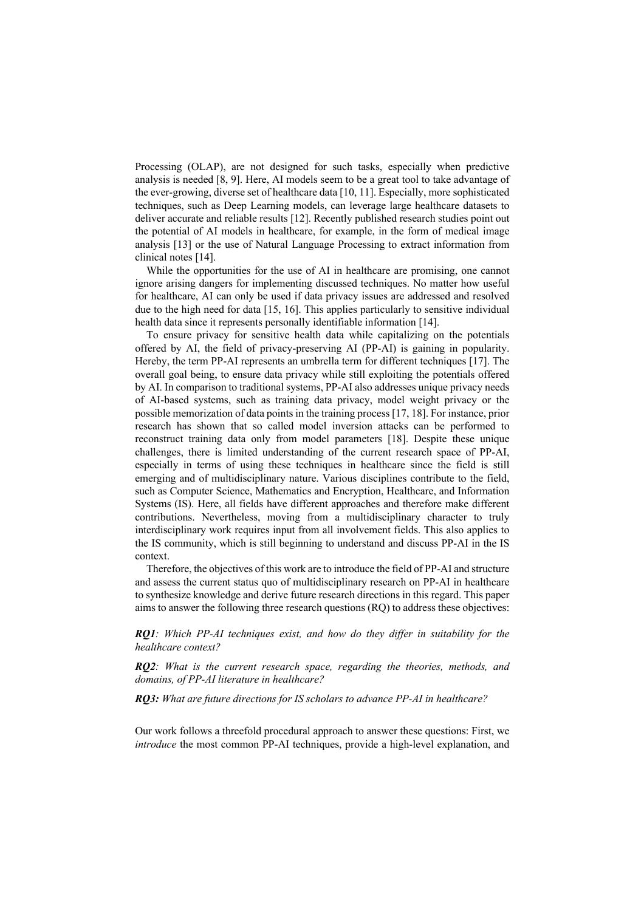Processing (OLAP), are not designed for such tasks, especially when predictive analysis is needed [8, 9]. Here, AI models seem to be a great tool to take advantage of the ever-growing, diverse set of healthcare data [10, 11]. Especially, more sophisticated techniques, such as Deep Learning models, can leverage large healthcare datasets to deliver accurate and reliable results [12]. Recently published research studies point out the potential of AI models in healthcare, for example, in the form of medical image analysis [13] or the use of Natural Language Processing to extract information from clinical notes [14].

While the opportunities for the use of AI in healthcare are promising, one cannot ignore arising dangers for implementing discussed techniques. No matter how useful for healthcare, AI can only be used if data privacy issues are addressed and resolved due to the high need for data [15, 16]. This applies particularly to sensitive individual health data since it represents personally identifiable information [14].

To ensure privacy for sensitive health data while capitalizing on the potentials offered by AI, the field of privacy-preserving AI (PP-AI) is gaining in popularity. Hereby, the term PP-AI represents an umbrella term for different techniques [17]. The overall goal being, to ensure data privacy while still exploiting the potentials offered by AI. In comparison to traditional systems, PP-AI also addresses unique privacy needs of AI-based systems, such as training data privacy, model weight privacy or the possible memorization of data points in the training process [17, 18]. For instance, prior research has shown that so called model inversion attacks can be performed to reconstruct training data only from model parameters [18]. Despite these unique challenges, there is limited understanding of the current research space of PP-AI, especially in terms of using these techniques in healthcare since the field is still emerging and of multidisciplinary nature. Various disciplines contribute to the field, such as Computer Science, Mathematics and Encryption, Healthcare, and Information Systems (IS). Here, all fields have different approaches and therefore make different contributions. Nevertheless, moving from a multidisciplinary character to truly interdisciplinary work requires input from all involvement fields. This also applies to the IS community, which is still beginning to understand and discuss PP-AI in the IS context.

Therefore, the objectives of this work are to introduce the field of PP-AI and structure and assess the current status quo of multidisciplinary research on PP-AI in healthcare to synthesize knowledge and derive future research directions in this regard. This paper aims to answer the following three research questions (RQ) to address these objectives:

*RQ1: Which PP-AI techniques exist, and how do they differ in suitability for the healthcare context?*

*RQ2: What is the current research space, regarding the theories, methods, and domains, of PP-AI literature in healthcare?*

*RQ3: What are future directions for IS scholars to advance PP-AI in healthcare?*

Our work follows a threefold procedural approach to answer these questions: First, we *introduce* the most common PP-AI techniques, provide a high-level explanation, and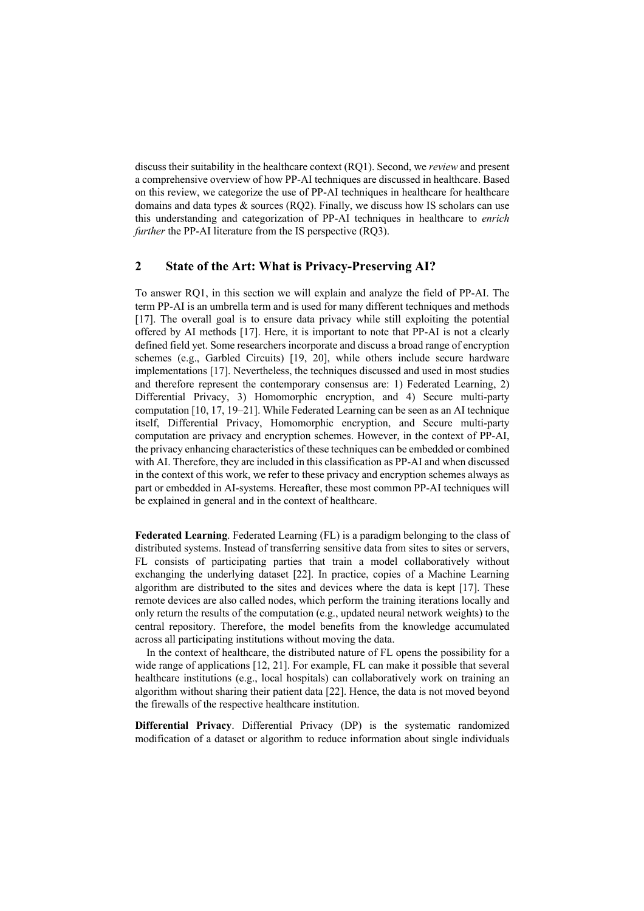discuss their suitability in the healthcare context (RQ1). Second, we *review* and present a comprehensive overview of how PP-AI techniques are discussed in healthcare. Based on this review, we categorize the use of PP-AI techniques in healthcare for healthcare domains and data types  $\&$  sources (RQ2). Finally, we discuss how IS scholars can use this understanding and categorization of PP-AI techniques in healthcare to *enrich further* the PP-AI literature from the IS perspective (RQ3).

## **2 State of the Art: What is Privacy-Preserving AI?**

To answer RQ1, in this section we will explain and analyze the field of PP-AI. The term PP-AI is an umbrella term and is used for many different techniques and methods [17]. The overall goal is to ensure data privacy while still exploiting the potential offered by AI methods [17]. Here, it is important to note that PP-AI is not a clearly defined field yet. Some researchers incorporate and discuss a broad range of encryption schemes (e.g., Garbled Circuits) [19, 20], while others include secure hardware implementations [17]. Nevertheless, the techniques discussed and used in most studies and therefore represent the contemporary consensus are: 1) Federated Learning, 2) Differential Privacy, 3) Homomorphic encryption, and 4) Secure multi-party computation [10, 17, 19–21]. While Federated Learning can be seen as an AI technique itself, Differential Privacy, Homomorphic encryption, and Secure multi-party computation are privacy and encryption schemes. However, in the context of PP-AI, the privacy enhancing characteristics of these techniques can be embedded or combined with AI. Therefore, they are included in this classification as PP-AI and when discussed in the context of this work, we refer to these privacy and encryption schemes always as part or embedded in AI-systems. Hereafter, these most common PP-AI techniques will be explained in general and in the context of healthcare.

**Federated Learning**. Federated Learning (FL) is a paradigm belonging to the class of distributed systems. Instead of transferring sensitive data from sites to sites or servers, FL consists of participating parties that train a model collaboratively without exchanging the underlying dataset [22]. In practice, copies of a Machine Learning algorithm are distributed to the sites and devices where the data is kept [17]. These remote devices are also called nodes, which perform the training iterations locally and only return the results of the computation (e.g., updated neural network weights) to the central repository. Therefore, the model benefits from the knowledge accumulated across all participating institutions without moving the data.

In the context of healthcare, the distributed nature of FL opens the possibility for a wide range of applications [12, 21]. For example, FL can make it possible that several healthcare institutions (e.g., local hospitals) can collaboratively work on training an algorithm without sharing their patient data [22]. Hence, the data is not moved beyond the firewalls of the respective healthcare institution.

**Differential Privacy**. Differential Privacy (DP) is the systematic randomized modification of a dataset or algorithm to reduce information about single individuals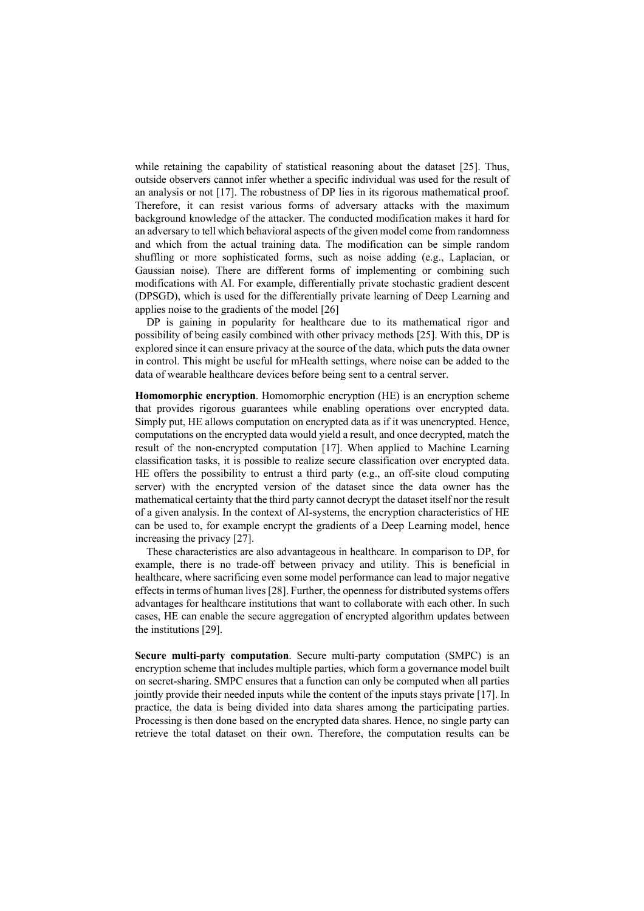while retaining the capability of statistical reasoning about the dataset [25]. Thus, outside observers cannot infer whether a specific individual was used for the result of an analysis or not [17]. The robustness of DP lies in its rigorous mathematical proof. Therefore, it can resist various forms of adversary attacks with the maximum background knowledge of the attacker. The conducted modification makes it hard for an adversary to tell which behavioral aspects of the given model come from randomness and which from the actual training data. The modification can be simple random shuffling or more sophisticated forms, such as noise adding (e.g., Laplacian, or Gaussian noise). There are different forms of implementing or combining such modifications with AI. For example, differentially private stochastic gradient descent (DPSGD), which is used for the differentially private learning of Deep Learning and applies noise to the gradients of the model [26]

DP is gaining in popularity for healthcare due to its mathematical rigor and possibility of being easily combined with other privacy methods [25]. With this, DP is explored since it can ensure privacy at the source of the data, which puts the data owner in control. This might be useful for mHealth settings, where noise can be added to the data of wearable healthcare devices before being sent to a central server.

**Homomorphic encryption**. Homomorphic encryption (HE) is an encryption scheme that provides rigorous guarantees while enabling operations over encrypted data. Simply put, HE allows computation on encrypted data as if it was unencrypted. Hence, computations on the encrypted data would yield a result, and once decrypted, match the result of the non-encrypted computation [17]. When applied to Machine Learning classification tasks, it is possible to realize secure classification over encrypted data. HE offers the possibility to entrust a third party (e.g., an off-site cloud computing server) with the encrypted version of the dataset since the data owner has the mathematical certainty that the third party cannot decrypt the dataset itself nor the result of a given analysis. In the context of AI-systems, the encryption characteristics of HE can be used to, for example encrypt the gradients of a Deep Learning model, hence increasing the privacy [27].

These characteristics are also advantageous in healthcare. In comparison to DP, for example, there is no trade-off between privacy and utility. This is beneficial in healthcare, where sacrificing even some model performance can lead to major negative effects in terms of human lives [28]. Further, the openness for distributed systems offers advantages for healthcare institutions that want to collaborate with each other. In such cases, HE can enable the secure aggregation of encrypted algorithm updates between the institutions [29].

**Secure multi-party computation**. Secure multi-party computation (SMPC) is an encryption scheme that includes multiple parties, which form a governance model built on secret-sharing. SMPC ensures that a function can only be computed when all parties jointly provide their needed inputs while the content of the inputs stays private [17]. In practice, the data is being divided into data shares among the participating parties. Processing is then done based on the encrypted data shares. Hence, no single party can retrieve the total dataset on their own. Therefore, the computation results can be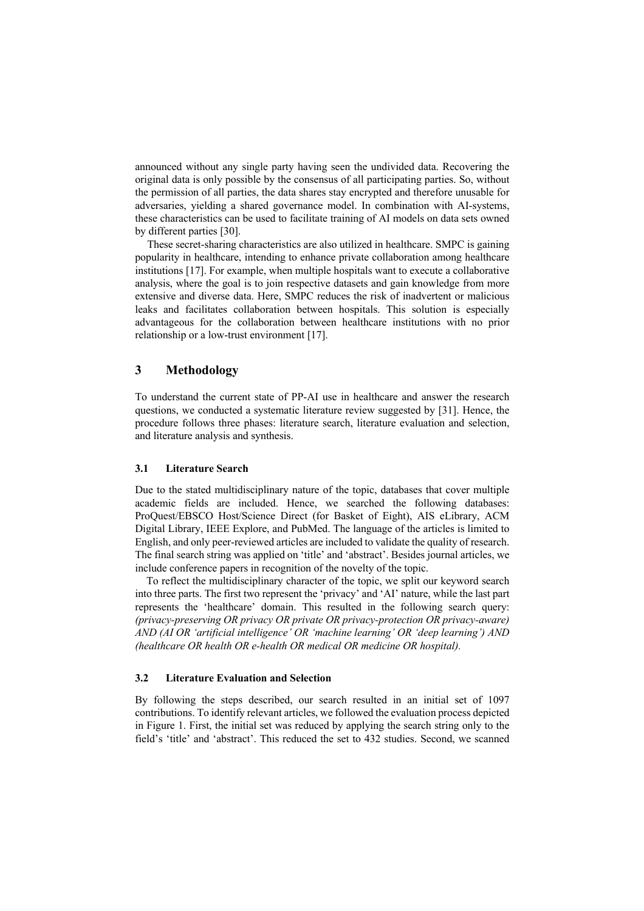announced without any single party having seen the undivided data. Recovering the original data is only possible by the consensus of all participating parties. So, without the permission of all parties, the data shares stay encrypted and therefore unusable for adversaries, yielding a shared governance model. In combination with AI-systems, these characteristics can be used to facilitate training of AI models on data sets owned by different parties [30].

These secret-sharing characteristics are also utilized in healthcare. SMPC is gaining popularity in healthcare, intending to enhance private collaboration among healthcare institutions [17]. For example, when multiple hospitals want to execute a collaborative analysis, where the goal is to join respective datasets and gain knowledge from more extensive and diverse data. Here, SMPC reduces the risk of inadvertent or malicious leaks and facilitates collaboration between hospitals. This solution is especially advantageous for the collaboration between healthcare institutions with no prior relationship or a low-trust environment [17].

#### **3 Methodology**

To understand the current state of PP-AI use in healthcare and answer the research questions, we conducted a systematic literature review suggested by [31]. Hence, the procedure follows three phases: literature search, literature evaluation and selection, and literature analysis and synthesis.

#### **3.1 Literature Search**

Due to the stated multidisciplinary nature of the topic, databases that cover multiple academic fields are included. Hence, we searched the following databases: ProQuest/EBSCO Host/Science Direct (for Basket of Eight), AIS eLibrary, ACM Digital Library, IEEE Explore, and PubMed. The language of the articles is limited to English, and only peer-reviewed articles are included to validate the quality of research. The final search string was applied on 'title' and 'abstract'. Besides journal articles, we include conference papers in recognition of the novelty of the topic.

To reflect the multidisciplinary character of the topic, we split our keyword search into three parts. The first two represent the 'privacy' and 'AI' nature, while the last part represents the 'healthcare' domain. This resulted in the following search query: *(privacy-preserving OR privacy OR private OR privacy-protection OR privacy-aware) AND (AI OR 'artificial intelligence' OR 'machine learning' OR 'deep learning') AND (healthcare OR health OR e-health OR medical OR medicine OR hospital).*

#### **3.2 Literature Evaluation and Selection**

By following the steps described, our search resulted in an initial set of 1097 contributions. To identify relevant articles, we followed the evaluation process depicted in Figure 1. First, the initial set was reduced by applying the search string only to the field's 'title' and 'abstract'. This reduced the set to 432 studies. Second, we scanned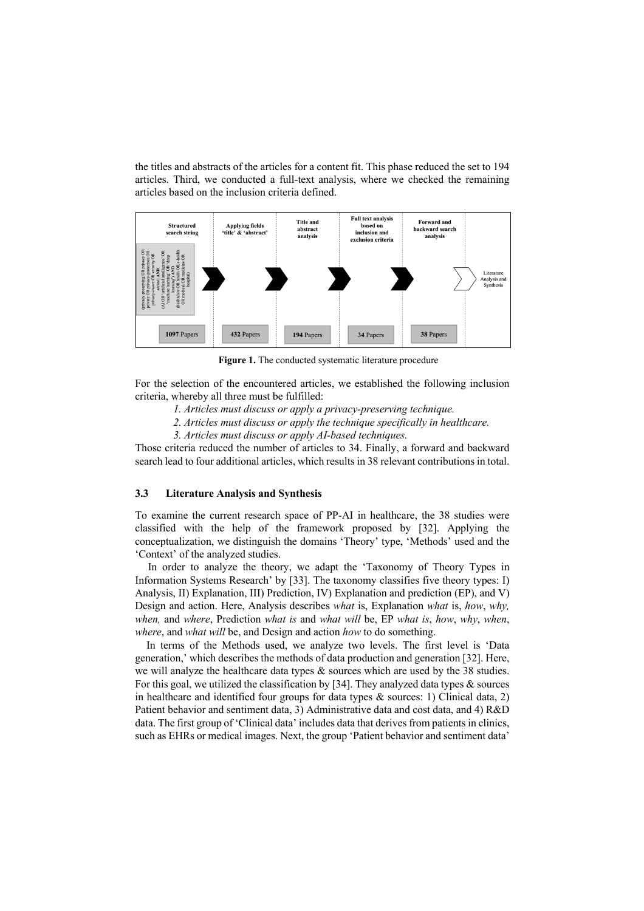the titles and abstracts of the articles for a content fit. This phase reduced the set to 194 articles. Third, we conducted a full-text analysis, where we checked the remaining articles based on the inclusion criteria defined.



**Figure 1.** The conducted systematic literature procedure

For the selection of the encountered articles, we established the following inclusion criteria, whereby all three must be fulfilled:

- *1. Articles must discuss or apply a privacy-preserving technique.*
- *2. Articles must discuss or apply the technique specifically in healthcare.*
- *3. Articles must discuss or apply AI-based techniques.*

Those criteria reduced the number of articles to 34. Finally, a forward and backward search lead to four additional articles, which results in 38 relevant contributions in total.

#### **3.3 Literature Analysis and Synthesis**

To examine the current research space of PP-AI in healthcare, the 38 studies were classified with the help of the framework proposed by [32]. Applying the conceptualization, we distinguish the domains 'Theory' type, 'Methods' used and the 'Context' of the analyzed studies.

In order to analyze the theory, we adapt the 'Taxonomy of Theory Types in Information Systems Research' by [33]. The taxonomy classifies five theory types: I) Analysis, II) Explanation, III) Prediction, IV) Explanation and prediction (EP), and V) Design and action. Here, Analysis describes *what* is, Explanation *what* is, *how*, *why, when,* and *where*, Prediction *what is* and *what will* be, EP *what is*, *how*, *why*, *when*, *where*, and *what will* be, and Design and action *how* to do something.

In terms of the Methods used, we analyze two levels. The first level is 'Data generation,' which describes the methods of data production and generation [32]. Here, we will analyze the healthcare data types & sources which are used by the 38 studies. For this goal, we utilized the classification by [34]. They analyzed data types & sources in healthcare and identified four groups for data types  $\&$  sources: 1) Clinical data, 2) Patient behavior and sentiment data, 3) Administrative data and cost data, and 4) R&D data. The first group of 'Clinical data' includes data that derives from patients in clinics, such as EHRs or medical images. Next, the group 'Patient behavior and sentiment data'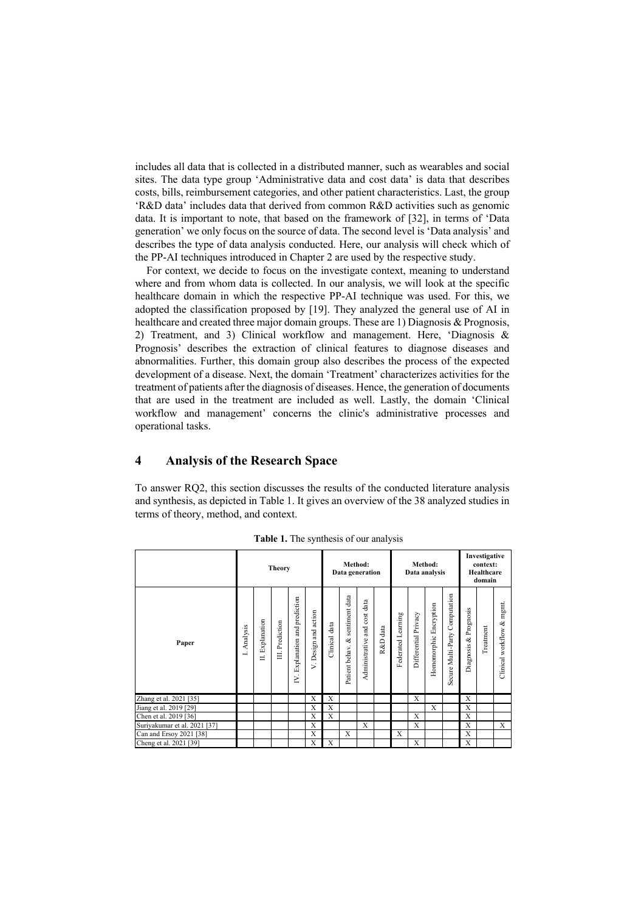includes all data that is collected in a distributed manner, such as wearables and social sites. The data type group 'Administrative data and cost data' is data that describes costs, bills, reimbursement categories, and other patient characteristics. Last, the group 'R&D data' includes data that derived from common R&D activities such as genomic data. It is important to note, that based on the framework of [32], in terms of 'Data generation' we only focus on the source of data. The second level is 'Data analysis' and describes the type of data analysis conducted. Here, our analysis will check which of the PP-AI techniques introduced in Chapter 2 are used by the respective study.

For context, we decide to focus on the investigate context, meaning to understand where and from whom data is collected. In our analysis, we will look at the specific healthcare domain in which the respective PP-AI technique was used. For this, we adopted the classification proposed by [19]. They analyzed the general use of AI in healthcare and created three major domain groups. These are 1) Diagnosis & Prognosis, 2) Treatment, and 3) Clinical workflow and management. Here, 'Diagnosis & Prognosis' describes the extraction of clinical features to diagnose diseases and abnormalities. Further, this domain group also describes the process of the expected development of a disease. Next, the domain 'Treatment' characterizes activities for the treatment of patients after the diagnosis of diseases. Hence, the generation of documents that are used in the treatment are included as well. Lastly, the domain 'Clinical workflow and management' concerns the clinic's administrative processes and operational tasks.

## **4 Analysis of the Research Space**

To answer RQ2, this section discusses the results of the conducted literature analysis and synthesis, as depicted in Table 1. It gives an overview of the 38 analyzed studies in terms of theory, method, and context.

|                              | <b>Theory</b>        |                  |                 |                                | Method:<br>Data generation |                           |                                       |                              | Method:<br>Data analysis |                    |                      |                        | Investigative<br>context:<br>Healthcare<br>domain |                       |           |                           |
|------------------------------|----------------------|------------------|-----------------|--------------------------------|----------------------------|---------------------------|---------------------------------------|------------------------------|--------------------------|--------------------|----------------------|------------------------|---------------------------------------------------|-----------------------|-----------|---------------------------|
| Paper                        | Analysis<br>$\equiv$ | Explanation<br>E | Prediction<br>Ë | IV. Explanation and prediction | Design and action<br>Š.    | $_{\rm data}$<br>Clinical | sentiment data<br>ಳ<br>Patient behav. | Administrative and cost data | data<br>R&D              | Federated Learning | Differential Privacy | Homomorphic Encryption | Computation<br>Multi-Party<br>Secure ]            | Diagnosis & Prognosis | Treatment | Clinical workflow & mgmt. |
| Zhang et al. 2021 [35]       |                      |                  |                 |                                | X                          | X                         |                                       |                              |                          |                    | X                    |                        |                                                   | X                     |           |                           |
| Jiang et al. 2019 [29]       |                      |                  |                 |                                | X                          | X                         |                                       |                              |                          |                    |                      | X                      |                                                   | X                     |           |                           |
| Chen et al. 2019 [36]        |                      |                  |                 |                                | X                          | X                         |                                       |                              |                          |                    | X                    |                        |                                                   | X                     |           |                           |
| Suriyakumar et al. 2021 [37] |                      |                  |                 |                                | X                          |                           |                                       | X                            |                          |                    | X                    |                        |                                                   | X                     |           | X                         |
| Can and Ersoy 2021 [38]      |                      |                  |                 |                                | X                          |                           | X                                     |                              |                          | X                  |                      |                        |                                                   | X                     |           |                           |
| Cheng et al. 2021 [39]       |                      |                  |                 |                                | X                          | X                         |                                       |                              |                          |                    | X                    |                        |                                                   | X                     |           |                           |

**Table 1.** The synthesis of our analysis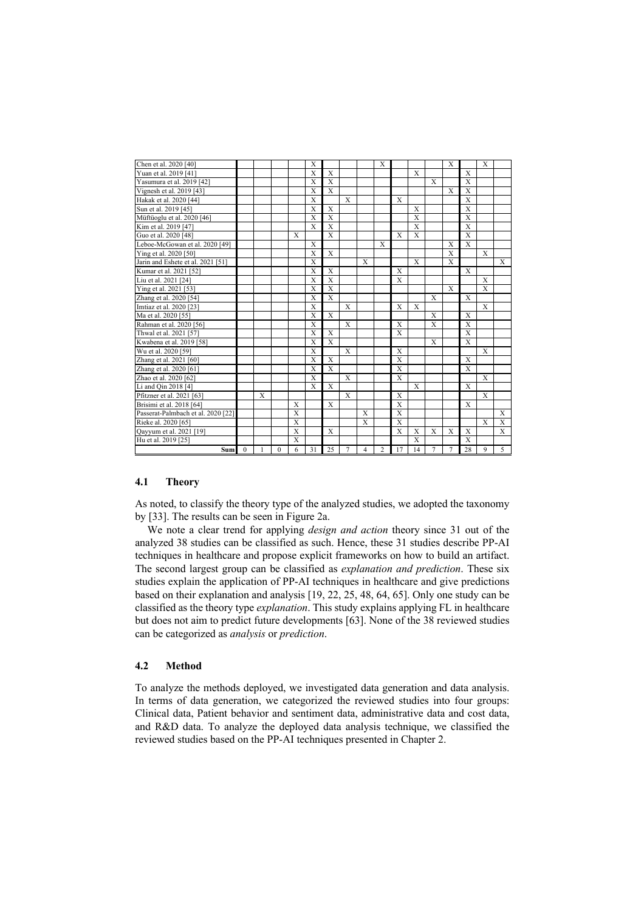| Chen et al. 2020 [40]              |          |   |          |                | X                       |                |                |   | X              |                         |              |                | X              |                | X |   |
|------------------------------------|----------|---|----------|----------------|-------------------------|----------------|----------------|---|----------------|-------------------------|--------------|----------------|----------------|----------------|---|---|
| Yuan et al. 2019 [41]              |          |   |          |                | X                       | X              |                |   |                |                         | X            |                |                | X              |   |   |
| Yasumura et al. 2019 [42]          |          |   |          |                | X                       | X              |                |   |                |                         |              | X              |                | X              |   |   |
| Vignesh et al. 2019 [43]           |          |   |          |                | X                       | $\mathbf{x}$   |                |   |                |                         |              |                | X              | X              |   |   |
| Hakak et al. 2020 [44]             |          |   |          |                | $\mathbf{x}$            |                | $\mathbf{X}$   |   |                | X                       |              |                |                | X              |   |   |
| Sun et al. 2019 [45]               |          |   |          |                | X                       | $\mathbf{X}$   |                |   |                |                         | X            |                |                | X              |   |   |
| Müftüoglu et al. 2020 [46]         |          |   |          |                | X                       | X              |                |   |                |                         | X            |                |                | X              |   |   |
| Kim et al. 2019 [47]               |          |   |          |                | X                       | X              |                |   |                |                         | X            |                |                | X              |   |   |
| Guo et al. 2020 [48]               |          |   |          | $\mathbf x$    |                         | $\mathbf{X}$   |                |   |                | $\mathbf x$             | X            |                |                | X              |   |   |
| Leboe-McGowan et al. 2020 [49]     |          |   |          |                | X                       |                |                |   | X              |                         |              |                | X              | X              |   |   |
| Ying et al. 2020 [50]              |          |   |          |                | X                       | X              |                |   |                |                         |              |                | X              |                | X |   |
| Jarin and Eshete et al. 2021 [51]  |          |   |          |                | X                       |                |                | X |                |                         | $\mathbf X$  |                | X              |                |   | X |
| Kumar et al. 2021 [52]             |          |   |          |                | X                       | $\mathbf{X}$   |                |   |                | X                       |              |                |                | X              |   |   |
| Liu et al. 2021 [24]               |          |   |          |                | X                       | X              |                |   |                | X                       |              |                |                |                | X |   |
| Ying et al. 2021 [53]              |          |   |          |                | $\mathbf x$             | $\mathbf{X}$   |                |   |                |                         |              |                | X              |                | X |   |
| Zhang et al. 2020 [54]             |          |   |          |                | X                       | $\mathbf{X}$   |                |   |                |                         |              | X              |                | X              |   |   |
| Imtiaz et al. 2020 [23]            |          |   |          |                | X                       |                | $\mathbf{x}$   |   |                | X                       | $\mathbf{x}$ |                |                |                | X |   |
| Ma et al. 2020 [55]                |          |   |          |                | X                       | $\mathbf{X}$   |                |   |                |                         |              | X              |                | X              |   |   |
| Rahman et al. 2020 [56]            |          |   |          |                | X                       |                | X              |   |                | X                       |              | X              |                | X              |   |   |
| Thwal et al. 2021 [57]             |          |   |          |                | X                       | X              |                |   |                | X                       |              |                |                | X              |   |   |
| Kwabena et al. 2019 [58]           |          |   |          |                | X                       | $\mathbf{x}$   |                |   |                |                         |              | $\mathbf{X}$   |                | $\mathbf{X}$   |   |   |
| Wu et al. 2020 [59]                |          |   |          |                | X                       |                | $\mathbf{X}$   |   |                | X                       |              |                |                |                | X |   |
| Zhang et al. 2021 [60]             |          |   |          |                | $\mathbf{x}$            | $\mathbf{x}$   |                |   |                | $\mathbf x$             |              |                |                | $\mathbf x$    |   |   |
| Zhang et al. 2020 [61]             |          |   |          |                | $\overline{\mathrm{X}}$ | $\overline{X}$ |                |   |                | $\overline{\mathbf{X}}$ |              |                |                | $\overline{X}$ |   |   |
| Zhao et al. 2020 [62]              |          |   |          |                | X                       |                | X              |   |                | X                       |              |                |                |                | X |   |
| Li and Qin 2018 [4]                |          |   |          |                | X                       | X              |                |   |                |                         | X            |                |                | X              |   |   |
| Pfitzner et al. 2021 [63]          |          | X |          |                |                         |                | X              |   |                | X                       |              |                |                |                | X |   |
| Brisimi et al. 2018 [64]           |          |   |          | X              |                         | X              |                |   |                | X                       |              |                |                | X              |   |   |
| Passerat-Palmbach et al. 2020 [22] |          |   |          | X              |                         |                |                | X |                | X                       |              |                |                |                |   | X |
| Rieke al. 2020 [65]                |          |   |          | $\overline{X}$ |                         |                |                | X |                | X                       |              |                |                |                | X | X |
| Qayyum et al. 2021 [19]            |          |   |          | $\overline{X}$ |                         | X              |                |   |                | X                       | X            | X              | X              | X              |   | X |
| Hu et al. 2019 [25]                |          |   |          | X              |                         |                |                |   |                |                         | X            |                |                | X              |   |   |
| Sum                                | $\Omega$ | 1 | $\theta$ | 6              | 31                      | 25             | $\overline{7}$ | 4 | $\overline{c}$ | 17                      | 14           | $\overline{7}$ | $\overline{7}$ | 28             | 9 | 5 |

#### **4.1 Theory**

As noted, to classify the theory type of the analyzed studies, we adopted the taxonomy by [33]. The results can be seen in Figure 2a.

We note a clear trend for applying *design and action* theory since 31 out of the analyzed 38 studies can be classified as such. Hence, these 31 studies describe PP-AI techniques in healthcare and propose explicit frameworks on how to build an artifact. The second largest group can be classified as *explanation and prediction*. These six studies explain the application of PP-AI techniques in healthcare and give predictions based on their explanation and analysis [19, 22, 25, 48, 64, 65]. Only one study can be classified as the theory type *explanation*. This study explains applying FL in healthcare but does not aim to predict future developments [63]. None of the 38 reviewed studies can be categorized as *analysis* or *prediction*.

#### **4.2 Method**

To analyze the methods deployed, we investigated data generation and data analysis. In terms of data generation, we categorized the reviewed studies into four groups: Clinical data, Patient behavior and sentiment data, administrative data and cost data, and R&D data. To analyze the deployed data analysis technique, we classified the reviewed studies based on the PP-AI techniques presented in Chapter 2.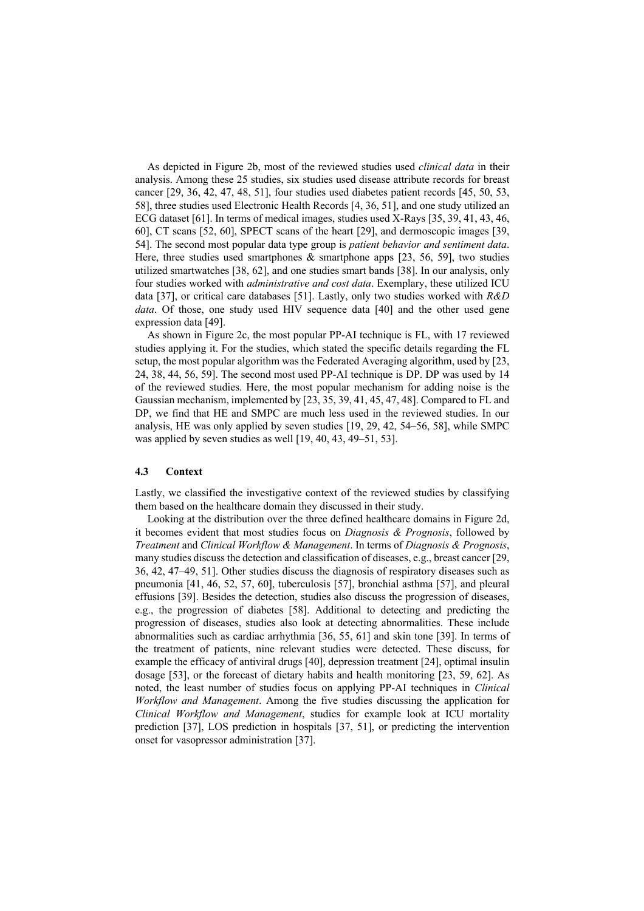As depicted in Figure 2b, most of the reviewed studies used *clinical data* in their analysis. Among these 25 studies, six studies used disease attribute records for breast cancer [29, 36, 42, 47, 48, 51], four studies used diabetes patient records [45, 50, 53, 58], three studies used Electronic Health Records [4, 36, 51], and one study utilized an ECG dataset [61]. In terms of medical images, studies used X-Rays [35, 39, 41, 43, 46, 60], CT scans [52, 60], SPECT scans of the heart [29], and dermoscopic images [39, 54]. The second most popular data type group is *patient behavior and sentiment data*. Here, three studies used smartphones & smartphone apps [23, 56, 59], two studies utilized smartwatches [38, 62], and one studies smart bands [38]. In our analysis, only four studies worked with *administrative and cost data*. Exemplary, these utilized ICU data [37], or critical care databases [51]. Lastly, only two studies worked with *R&D data*. Of those, one study used HIV sequence data [40] and the other used gene expression data [49].

As shown in Figure 2c, the most popular PP-AI technique is FL, with 17 reviewed studies applying it. For the studies, which stated the specific details regarding the FL setup, the most popular algorithm was the Federated Averaging algorithm, used by [23, 24, 38, 44, 56, 59]. The second most used PP-AI technique is DP. DP was used by 14 of the reviewed studies. Here, the most popular mechanism for adding noise is the Gaussian mechanism, implemented by [23, 35, 39, 41, 45, 47, 48]. Compared to FL and DP, we find that HE and SMPC are much less used in the reviewed studies. In our analysis, HE was only applied by seven studies [19, 29, 42, 54–56, 58], while SMPC was applied by seven studies as well [19, 40, 43, 49–51, 53].

#### **4.3 Context**

Lastly, we classified the investigative context of the reviewed studies by classifying them based on the healthcare domain they discussed in their study.

Looking at the distribution over the three defined healthcare domains in Figure 2d, it becomes evident that most studies focus on *Diagnosis & Prognosis*, followed by *Treatment* and *Clinical Workflow & Management*. In terms of *Diagnosis & Prognosis*, many studies discuss the detection and classification of diseases, e.g., breast cancer [29, 36, 42, 47–49, 51]. Other studies discuss the diagnosis of respiratory diseases such as pneumonia [41, 46, 52, 57, 60], tuberculosis [57], bronchial asthma [57], and pleural effusions [39]. Besides the detection, studies also discuss the progression of diseases, e.g., the progression of diabetes [58]. Additional to detecting and predicting the progression of diseases, studies also look at detecting abnormalities. These include abnormalities such as cardiac arrhythmia [36, 55, 61] and skin tone [39]. In terms of the treatment of patients, nine relevant studies were detected. These discuss, for example the efficacy of antiviral drugs [40], depression treatment [24], optimal insulin dosage [53], or the forecast of dietary habits and health monitoring [23, 59, 62]. As noted, the least number of studies focus on applying PP-AI techniques in *Clinical Workflow and Management*. Among the five studies discussing the application for *Clinical Workflow and Management*, studies for example look at ICU mortality prediction [37], LOS prediction in hospitals [37, 51], or predicting the intervention onset for vasopressor administration [37].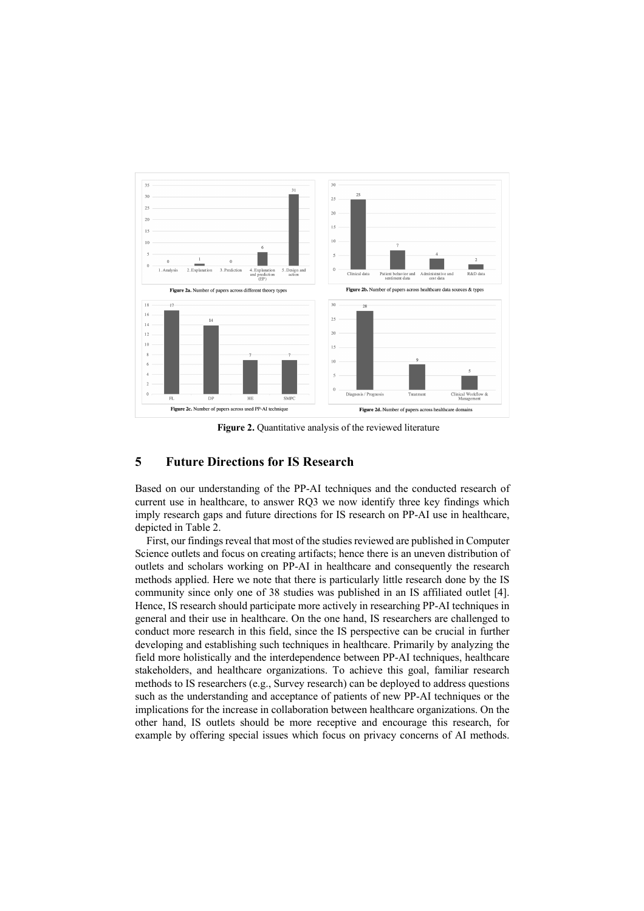

**Figure 2.** Quantitative analysis of the reviewed literature

## **5 Future Directions for IS Research**

Based on our understanding of the PP-AI techniques and the conducted research of current use in healthcare, to answer RQ3 we now identify three key findings which imply research gaps and future directions for IS research on PP-AI use in healthcare, depicted in Table 2.

First, our findings reveal that most of the studies reviewed are published in Computer Science outlets and focus on creating artifacts; hence there is an uneven distribution of outlets and scholars working on PP-AI in healthcare and consequently the research methods applied. Here we note that there is particularly little research done by the IS community since only one of 38 studies was published in an IS affiliated outlet [4]. Hence, IS research should participate more actively in researching PP-AI techniques in general and their use in healthcare. On the one hand, IS researchers are challenged to conduct more research in this field, since the IS perspective can be crucial in further developing and establishing such techniques in healthcare. Primarily by analyzing the field more holistically and the interdependence between PP-AI techniques, healthcare stakeholders, and healthcare organizations. To achieve this goal, familiar research methods to IS researchers (e.g., Survey research) can be deployed to address questions such as the understanding and acceptance of patients of new PP-AI techniques or the implications for the increase in collaboration between healthcare organizations. On the other hand, IS outlets should be more receptive and encourage this research, for example by offering special issues which focus on privacy concerns of AI methods.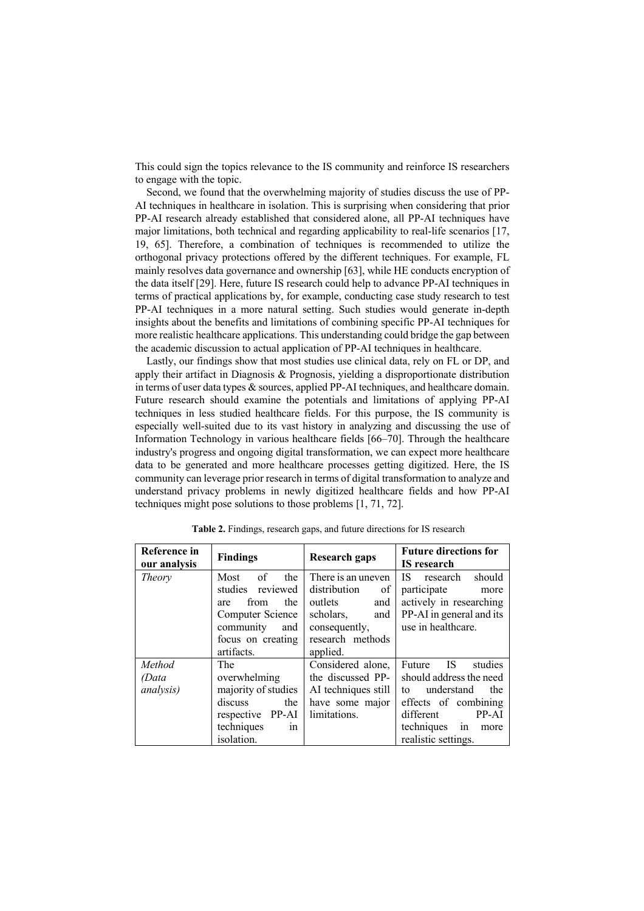This could sign the topics relevance to the IS community and reinforce IS researchers to engage with the topic.

Second, we found that the overwhelming majority of studies discuss the use of PP-AI techniques in healthcare in isolation. This is surprising when considering that prior PP-AI research already established that considered alone, all PP-AI techniques have major limitations, both technical and regarding applicability to real-life scenarios [17, 19, 65]. Therefore, a combination of techniques is recommended to utilize the orthogonal privacy protections offered by the different techniques. For example, FL mainly resolves data governance and ownership [63], while HE conducts encryption of the data itself [29]. Here, future IS research could help to advance PP-AI techniques in terms of practical applications by, for example, conducting case study research to test PP-AI techniques in a more natural setting. Such studies would generate in-depth insights about the benefits and limitations of combining specific PP-AI techniques for more realistic healthcare applications. This understanding could bridge the gap between the academic discussion to actual application of PP-AI techniques in healthcare.

Lastly, our findings show that most studies use clinical data, rely on FL or DP, and apply their artifact in Diagnosis & Prognosis, yielding a disproportionate distribution in terms of user data types & sources, applied PP-AI techniques, and healthcare domain. Future research should examine the potentials and limitations of applying PP-AI techniques in less studied healthcare fields. For this purpose, the IS community is especially well-suited due to its vast history in analyzing and discussing the use of Information Technology in various healthcare fields [66–70]. Through the healthcare industry's progress and ongoing digital transformation, we can expect more healthcare data to be generated and more healthcare processes getting digitized. Here, the IS community can leverage prior research in terms of digital transformation to analyze and understand privacy problems in newly digitized healthcare fields and how PP-AI techniques might pose solutions to those problems [1, 71, 72].

| Reference in<br>our analysis         | <b>Findings</b>                                                                                                    | Research gaps                                                                                    | <b>Future directions for</b><br><b>IS</b> research                                                                                                                                 |
|--------------------------------------|--------------------------------------------------------------------------------------------------------------------|--------------------------------------------------------------------------------------------------|------------------------------------------------------------------------------------------------------------------------------------------------------------------------------------|
| <i>Theory</i>                        | of<br>Most<br>the<br>studies reviewed<br>the<br>from<br>are<br>Computer Science<br>community<br>and                | There is an uneven<br>distribution<br>of<br>outlets<br>and<br>scholars,<br>and<br>consequently,  | research<br>should<br>ΙS<br>participate<br>more<br>actively in researching<br>PP-AI in general and its<br>use in healthcare.                                                       |
|                                      | focus on creating<br>artifacts.                                                                                    | research methods<br>applied.                                                                     |                                                                                                                                                                                    |
| Method<br>(Data<br><i>analysis</i> ) | The<br>overwhelming<br>majority of studies<br>discuss<br>the<br>respective PP-AI<br>techniques<br>in<br>isolation. | Considered alone,<br>the discussed PP-<br>AI techniques still<br>have some major<br>limitations. | Future<br><b>IS</b><br>studies<br>should address the need<br>understand<br>the<br>to<br>effects of combining<br>different<br>PP-AI<br>techniques in<br>more<br>realistic settings. |

**Table 2.** Findings, research gaps, and future directions for IS research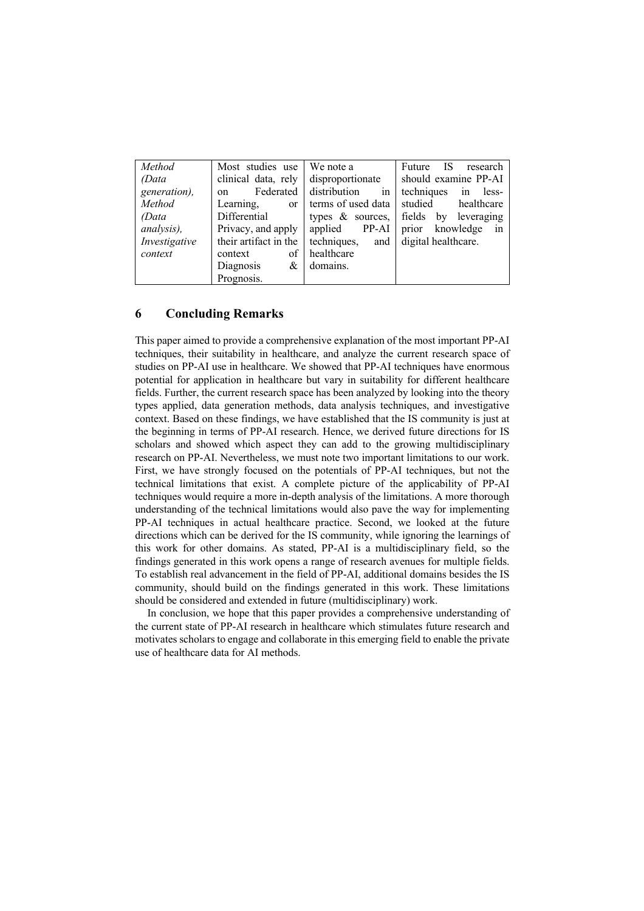| Method        | Most studies use           | We note a           | Future IS<br>research     |
|---------------|----------------------------|---------------------|---------------------------|
| (Data         | clinical data, rely        | disproportionate    | should examine PP-AI      |
| generation),  | Federated<br>on            | distribution<br>in  | techniques<br>in<br>less- |
| Method        | Learning,<br><sub>or</sub> | terms of used data  | studied<br>healthcare     |
| (Data         | Differential               | types $\&$ sources, | fields by leveraging      |
| analysis),    | Privacy, and apply         | applied PP-AI       | prior knowledge<br>in     |
| Investigative | their artifact in the      | techniques,         | and digital healthcare.   |
| context       | of<br>context              | healthcare          |                           |
|               | Diagnosis<br>&             | domains.            |                           |
|               | Prognosis.                 |                     |                           |

#### **6 Concluding Remarks**

This paper aimed to provide a comprehensive explanation of the most important PP-AI techniques, their suitability in healthcare, and analyze the current research space of studies on PP-AI use in healthcare. We showed that PP-AI techniques have enormous potential for application in healthcare but vary in suitability for different healthcare fields. Further, the current research space has been analyzed by looking into the theory types applied, data generation methods, data analysis techniques, and investigative context. Based on these findings, we have established that the IS community is just at the beginning in terms of PP-AI research. Hence, we derived future directions for IS scholars and showed which aspect they can add to the growing multidisciplinary research on PP-AI. Nevertheless, we must note two important limitations to our work. First, we have strongly focused on the potentials of PP-AI techniques, but not the technical limitations that exist. A complete picture of the applicability of PP-AI techniques would require a more in-depth analysis of the limitations. A more thorough understanding of the technical limitations would also pave the way for implementing PP-AI techniques in actual healthcare practice. Second, we looked at the future directions which can be derived for the IS community, while ignoring the learnings of this work for other domains. As stated, PP-AI is a multidisciplinary field, so the findings generated in this work opens a range of research avenues for multiple fields. To establish real advancement in the field of PP-AI, additional domains besides the IS community, should build on the findings generated in this work. These limitations should be considered and extended in future (multidisciplinary) work.

In conclusion, we hope that this paper provides a comprehensive understanding of the current state of PP-AI research in healthcare which stimulates future research and motivates scholars to engage and collaborate in this emerging field to enable the private use of healthcare data for AI methods.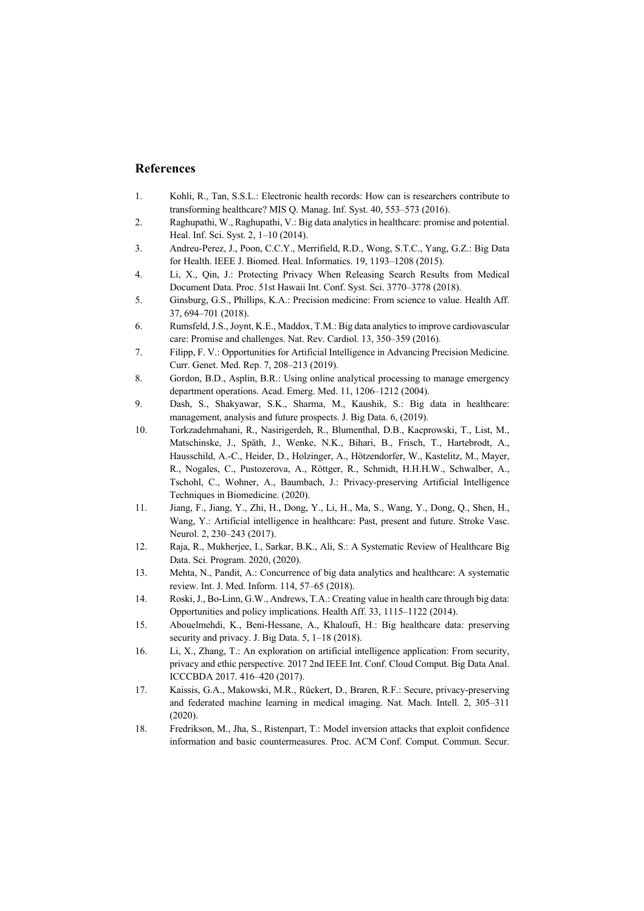#### **References**

- 1. Kohli, R., Tan, S.S.L.: Electronic health records: How can is researchers contribute to transforming healthcare? MIS Q. Manag. Inf. Syst. 40, 553–573 (2016).
- 2. Raghupathi, W., Raghupathi, V.: Big data analytics in healthcare: promise and potential. Heal. Inf. Sci. Syst. 2, 1–10 (2014).
- 3. Andreu-Perez, J., Poon, C.C.Y., Merrifield, R.D., Wong, S.T.C., Yang, G.Z.: Big Data for Health. IEEE J. Biomed. Heal. Informatics. 19, 1193–1208 (2015).
- 4. Li, X., Qin, J.: Protecting Privacy When Releasing Search Results from Medical Document Data. Proc. 51st Hawaii Int. Conf. Syst. Sci. 3770–3778 (2018).
- 5. Ginsburg, G.S., Phillips, K.A.: Precision medicine: From science to value. Health Aff. 37, 694–701 (2018).
- 6. Rumsfeld, J.S., Joynt, K.E., Maddox, T.M.: Big data analytics to improve cardiovascular care: Promise and challenges. Nat. Rev. Cardiol. 13, 350–359 (2016).
- 7. Filipp, F. V.: Opportunities for Artificial Intelligence in Advancing Precision Medicine. Curr. Genet. Med. Rep. 7, 208–213 (2019).
- 8. Gordon, B.D., Asplin, B.R.: Using online analytical processing to manage emergency department operations. Acad. Emerg. Med. 11, 1206–1212 (2004).
- 9. Dash, S., Shakyawar, S.K., Sharma, M., Kaushik, S.: Big data in healthcare: management, analysis and future prospects. J. Big Data. 6, (2019).
- 10. Torkzadehmahani, R., Nasirigerdeh, R., Blumenthal, D.B., Kacprowski, T., List, M., Matschinske, J., Späth, J., Wenke, N.K., Bihari, B., Frisch, T., Hartebrodt, A., Hausschild, A.-C., Heider, D., Holzinger, A., Hötzendorfer, W., Kastelitz, M., Mayer, R., Nogales, C., Pustozerova, A., Röttger, R., Schmidt, H.H.H.W., Schwalber, A., Tschohl, C., Wohner, A., Baumbach, J.: Privacy-preserving Artificial Intelligence Techniques in Biomedicine. (2020).
- 11. Jiang, F., Jiang, Y., Zhi, H., Dong, Y., Li, H., Ma, S., Wang, Y., Dong, Q., Shen, H., Wang, Y.: Artificial intelligence in healthcare: Past, present and future. Stroke Vasc. Neurol. 2, 230–243 (2017).
- 12. Raja, R., Mukherjee, I., Sarkar, B.K., Ali, S.: A Systematic Review of Healthcare Big Data. Sci. Program. 2020, (2020).
- 13. Mehta, N., Pandit, A.: Concurrence of big data analytics and healthcare: A systematic review. Int. J. Med. Inform. 114, 57–65 (2018).
- 14. Roski, J., Bo-Linn, G.W., Andrews, T.A.: Creating value in health care through big data: Opportunities and policy implications. Health Aff. 33, 1115–1122 (2014).
- 15. Abouelmehdi, K., Beni-Hessane, A., Khaloufi, H.: Big healthcare data: preserving security and privacy. J. Big Data. 5, 1–18 (2018).
- 16. Li, X., Zhang, T.: An exploration on artificial intelligence application: From security, privacy and ethic perspective. 2017 2nd IEEE Int. Conf. Cloud Comput. Big Data Anal. ICCCBDA 2017. 416–420 (2017).
- 17. Kaissis, G.A., Makowski, M.R., Rückert, D., Braren, R.F.: Secure, privacy-preserving and federated machine learning in medical imaging. Nat. Mach. Intell. 2, 305–311 (2020).
- 18. Fredrikson, M., Jha, S., Ristenpart, T.: Model inversion attacks that exploit confidence information and basic countermeasures. Proc. ACM Conf. Comput. Commun. Secur.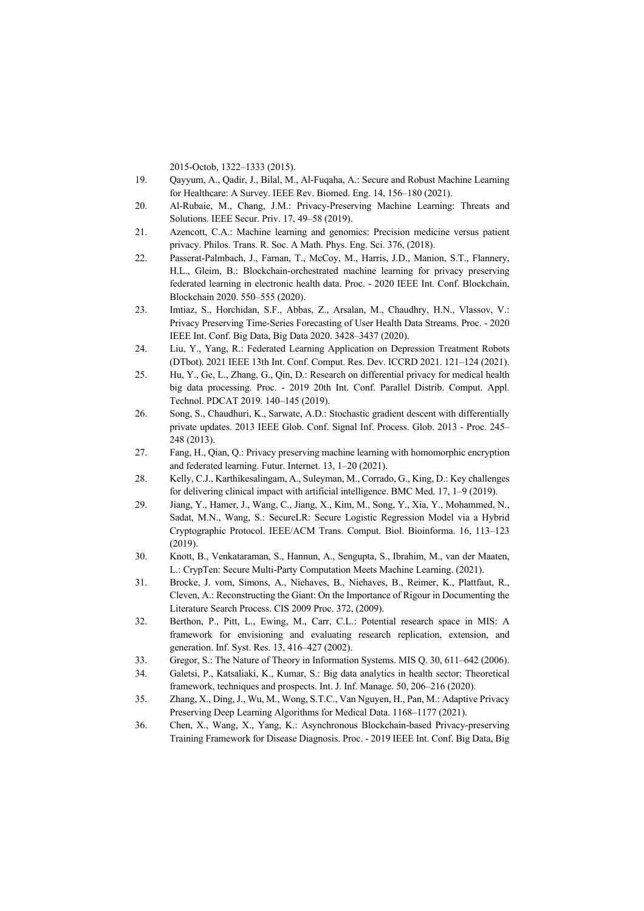2015-Octob, 1322–1333 (2015).

- 19. Qayyum, A., Qadir, J., Bilal, M., Al-Fuqaha, A.: Secure and Robust Machine Learning for Healthcare: A Survey. IEEE Rev. Biomed. Eng. 14, 156–180 (2021).
- 20. Al-Rubaie, M., Chang, J.M.: Privacy-Preserving Machine Learning: Threats and Solutions. IEEE Secur. Priv. 17, 49–58 (2019).
- 21. Azencott, C.A.: Machine learning and genomics: Precision medicine versus patient privacy. Philos. Trans. R. Soc. A Math. Phys. Eng. Sci. 376, (2018).
- 22. Passerat-Palmbach, J., Farnan, T., McCoy, M., Harris, J.D., Manion, S.T., Flannery, H.L., Gleim, B.: Blockchain-orchestrated machine learning for privacy preserving federated learning in electronic health data. Proc. - 2020 IEEE Int. Conf. Blockchain, Blockchain 2020. 550–555 (2020).
- 23. Imtiaz, S., Horchidan, S.F., Abbas, Z., Arsalan, M., Chaudhry, H.N., Vlassov, V.: Privacy Preserving Time-Series Forecasting of User Health Data Streams. Proc. - 2020 IEEE Int. Conf. Big Data, Big Data 2020. 3428–3437 (2020).
- 24. Liu, Y., Yang, R.: Federated Learning Application on Depression Treatment Robots (DTbot). 2021 IEEE 13th Int. Conf. Comput. Res. Dev. ICCRD 2021. 121–124 (2021).
- 25. Hu, Y., Ge, L., Zhang, G., Qin, D.: Research on differential privacy for medical health big data processing. Proc. - 2019 20th Int. Conf. Parallel Distrib. Comput. Appl. Technol. PDCAT 2019. 140–145 (2019).
- 26. Song, S., Chaudhuri, K., Sarwate, A.D.: Stochastic gradient descent with differentially private updates. 2013 IEEE Glob. Conf. Signal Inf. Process. Glob. 2013 - Proc. 245– 248 (2013).
- 27. Fang, H., Qian, Q.: Privacy preserving machine learning with homomorphic encryption and federated learning. Futur. Internet. 13, 1–20 (2021).
- 28. Kelly, C.J., Karthikesalingam, A., Suleyman, M., Corrado, G., King, D.: Key challenges for delivering clinical impact with artificial intelligence. BMC Med. 17, 1–9 (2019).
- 29. Jiang, Y., Hamer, J., Wang, C., Jiang, X., Kim, M., Song, Y., Xia, Y., Mohammed, N., Sadat, M.N., Wang, S.: SecureLR: Secure Logistic Regression Model via a Hybrid Cryptographic Protocol. IEEE/ACM Trans. Comput. Biol. Bioinforma. 16, 113–123 (2019).
- 30. Knott, B., Venkataraman, S., Hannun, A., Sengupta, S., Ibrahim, M., van der Maaten, L.: CrypTen: Secure Multi-Party Computation Meets Machine Learning. (2021).
- 31. Brocke, J. vom, Simons, A., Niehaves, B., Niehaves, B., Reimer, K., Plattfaut, R., Cleven, A.: Reconstructing the Giant: On the Importance of Rigour in Documenting the Literature Search Process. CIS 2009 Proc. 372, (2009).
- 32. Berthon, P., Pitt, L., Ewing, M., Carr, C.L.: Potential research space in MIS: A framework for envisioning and evaluating research replication, extension, and generation. Inf. Syst. Res. 13, 416–427 (2002).
- 33. Gregor, S.: The Nature of Theory in Information Systems. MIS Q. 30, 611–642 (2006).
- 34. Galetsi, P., Katsaliaki, K., Kumar, S.: Big data analytics in health sector: Theoretical framework, techniques and prospects. Int. J. Inf. Manage. 50, 206–216 (2020).
- 35. Zhang, X., Ding, J., Wu, M., Wong, S.T.C., Van Nguyen, H., Pan, M.: Adaptive Privacy Preserving Deep Learning Algorithms for Medical Data. 1168–1177 (2021).
- 36. Chen, X., Wang, X., Yang, K.: Asynchronous Blockchain-based Privacy-preserving Training Framework for Disease Diagnosis. Proc. - 2019 IEEE Int. Conf. Big Data, Big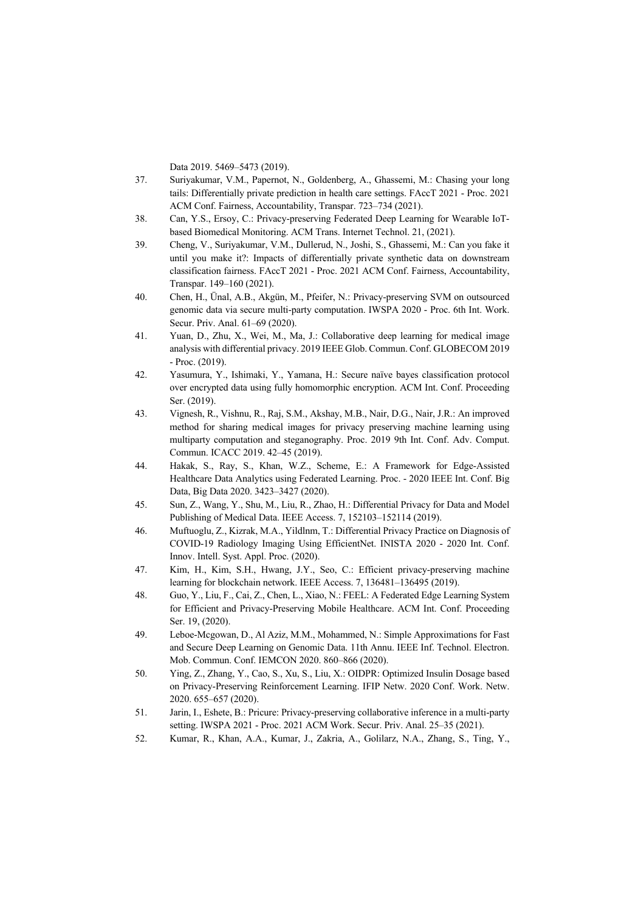Data 2019. 5469–5473 (2019).

- 37. Suriyakumar, V.M., Papernot, N., Goldenberg, A., Ghassemi, M.: Chasing your long tails: Differentially private prediction in health care settings. FAccT 2021 - Proc. 2021 ACM Conf. Fairness, Accountability, Transpar. 723–734 (2021).
- 38. Can, Y.S., Ersoy, C.: Privacy-preserving Federated Deep Learning for Wearable IoTbased Biomedical Monitoring. ACM Trans. Internet Technol. 21, (2021).
- 39. Cheng, V., Suriyakumar, V.M., Dullerud, N., Joshi, S., Ghassemi, M.: Can you fake it until you make it?: Impacts of differentially private synthetic data on downstream classification fairness. FAccT 2021 - Proc. 2021 ACM Conf. Fairness, Accountability, Transpar. 149–160 (2021).
- 40. Chen, H., Ünal, A.B., Akgün, M., Pfeifer, N.: Privacy-preserving SVM on outsourced genomic data via secure multi-party computation. IWSPA 2020 - Proc. 6th Int. Work. Secur. Priv. Anal. 61–69 (2020).
- 41. Yuan, D., Zhu, X., Wei, M., Ma, J.: Collaborative deep learning for medical image analysis with differential privacy. 2019 IEEE Glob. Commun. Conf. GLOBECOM 2019 - Proc. (2019).
- 42. Yasumura, Y., Ishimaki, Y., Yamana, H.: Secure naïve bayes classification protocol over encrypted data using fully homomorphic encryption. ACM Int. Conf. Proceeding Ser. (2019).
- 43. Vignesh, R., Vishnu, R., Raj, S.M., Akshay, M.B., Nair, D.G., Nair, J.R.: An improved method for sharing medical images for privacy preserving machine learning using multiparty computation and steganography. Proc. 2019 9th Int. Conf. Adv. Comput. Commun. ICACC 2019. 42–45 (2019).
- 44. Hakak, S., Ray, S., Khan, W.Z., Scheme, E.: A Framework for Edge-Assisted Healthcare Data Analytics using Federated Learning. Proc. - 2020 IEEE Int. Conf. Big Data, Big Data 2020. 3423–3427 (2020).
- 45. Sun, Z., Wang, Y., Shu, M., Liu, R., Zhao, H.: Differential Privacy for Data and Model Publishing of Medical Data. IEEE Access. 7, 152103–152114 (2019).
- 46. Muftuoglu, Z., Kizrak, M.A., Yildlnm, T.: Differential Privacy Practice on Diagnosis of COVID-19 Radiology Imaging Using EfficientNet. INISTA 2020 - 2020 Int. Conf. Innov. Intell. Syst. Appl. Proc. (2020).
- 47. Kim, H., Kim, S.H., Hwang, J.Y., Seo, C.: Efficient privacy-preserving machine learning for blockchain network. IEEE Access. 7, 136481–136495 (2019).
- 48. Guo, Y., Liu, F., Cai, Z., Chen, L., Xiao, N.: FEEL: A Federated Edge Learning System for Efficient and Privacy-Preserving Mobile Healthcare. ACM Int. Conf. Proceeding Ser. 19, (2020).
- 49. Leboe-Mcgowan, D., Al Aziz, M.M., Mohammed, N.: Simple Approximations for Fast and Secure Deep Learning on Genomic Data. 11th Annu. IEEE Inf. Technol. Electron. Mob. Commun. Conf. IEMCON 2020. 860–866 (2020).
- 50. Ying, Z., Zhang, Y., Cao, S., Xu, S., Liu, X.: OIDPR: Optimized Insulin Dosage based on Privacy-Preserving Reinforcement Learning. IFIP Netw. 2020 Conf. Work. Netw. 2020. 655–657 (2020).
- 51. Jarin, I., Eshete, B.: Pricure: Privacy-preserving collaborative inference in a multi-party setting. IWSPA 2021 - Proc. 2021 ACM Work. Secur. Priv. Anal. 25–35 (2021).
- 52. Kumar, R., Khan, A.A., Kumar, J., Zakria, A., Golilarz, N.A., Zhang, S., Ting, Y.,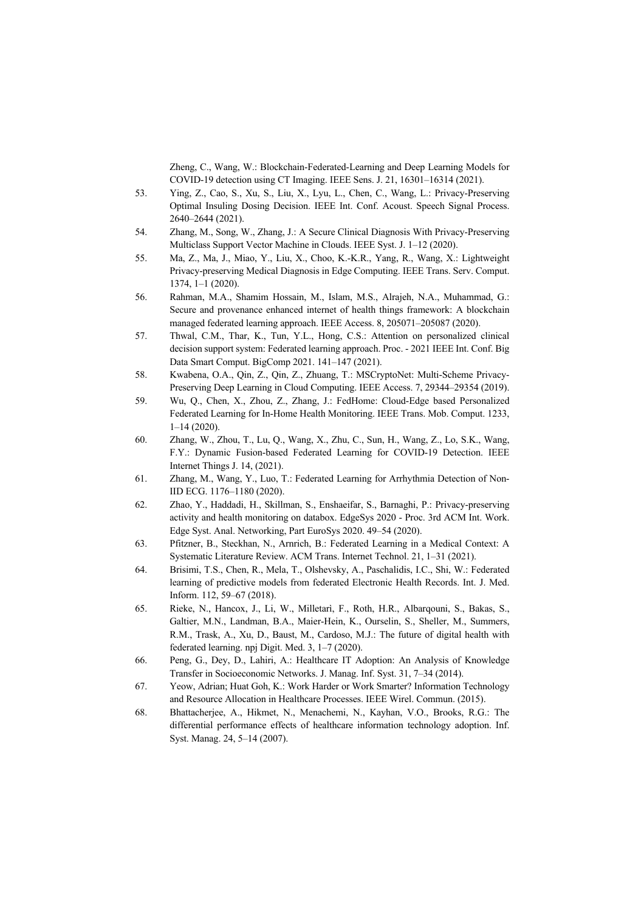Zheng, C., Wang, W.: Blockchain-Federated-Learning and Deep Learning Models for COVID-19 detection using CT Imaging. IEEE Sens. J. 21, 16301–16314 (2021).

- 53. Ying, Z., Cao, S., Xu, S., Liu, X., Lyu, L., Chen, C., Wang, L.: Privacy-Preserving Optimal Insuling Dosing Decision. IEEE Int. Conf. Acoust. Speech Signal Process. 2640–2644 (2021).
- 54. Zhang, M., Song, W., Zhang, J.: A Secure Clinical Diagnosis With Privacy-Preserving Multiclass Support Vector Machine in Clouds. IEEE Syst. J. 1–12 (2020).
- 55. Ma, Z., Ma, J., Miao, Y., Liu, X., Choo, K.-K.R., Yang, R., Wang, X.: Lightweight Privacy-preserving Medical Diagnosis in Edge Computing. IEEE Trans. Serv. Comput. 1374, 1–1 (2020).
- 56. Rahman, M.A., Shamim Hossain, M., Islam, M.S., Alrajeh, N.A., Muhammad, G.: Secure and provenance enhanced internet of health things framework: A blockchain managed federated learning approach. IEEE Access. 8, 205071–205087 (2020).
- 57. Thwal, C.M., Thar, K., Tun, Y.L., Hong, C.S.: Attention on personalized clinical decision support system: Federated learning approach. Proc. - 2021 IEEE Int. Conf. Big Data Smart Comput. BigComp 2021. 141–147 (2021).
- 58. Kwabena, O.A., Qin, Z., Qin, Z., Zhuang, T.: MSCryptoNet: Multi-Scheme Privacy-Preserving Deep Learning in Cloud Computing. IEEE Access. 7, 29344–29354 (2019).
- 59. Wu, Q., Chen, X., Zhou, Z., Zhang, J.: FedHome: Cloud-Edge based Personalized Federated Learning for In-Home Health Monitoring. IEEE Trans. Mob. Comput. 1233, 1–14 (2020).
- 60. Zhang, W., Zhou, T., Lu, Q., Wang, X., Zhu, C., Sun, H., Wang, Z., Lo, S.K., Wang, F.Y.: Dynamic Fusion-based Federated Learning for COVID-19 Detection. IEEE Internet Things J. 14, (2021).
- 61. Zhang, M., Wang, Y., Luo, T.: Federated Learning for Arrhythmia Detection of Non-IID ECG. 1176–1180 (2020).
- 62. Zhao, Y., Haddadi, H., Skillman, S., Enshaeifar, S., Barnaghi, P.: Privacy-preserving activity and health monitoring on databox. EdgeSys 2020 - Proc. 3rd ACM Int. Work. Edge Syst. Anal. Networking, Part EuroSys 2020. 49–54 (2020).
- 63. Pfitzner, B., Steckhan, N., Arnrich, B.: Federated Learning in a Medical Context: A Systematic Literature Review. ACM Trans. Internet Technol. 21, 1–31 (2021).
- 64. Brisimi, T.S., Chen, R., Mela, T., Olshevsky, A., Paschalidis, I.C., Shi, W.: Federated learning of predictive models from federated Electronic Health Records. Int. J. Med. Inform. 112, 59–67 (2018).
- 65. Rieke, N., Hancox, J., Li, W., Milletarì, F., Roth, H.R., Albarqouni, S., Bakas, S., Galtier, M.N., Landman, B.A., Maier-Hein, K., Ourselin, S., Sheller, M., Summers, R.M., Trask, A., Xu, D., Baust, M., Cardoso, M.J.: The future of digital health with federated learning. npj Digit. Med. 3, 1–7 (2020).
- 66. Peng, G., Dey, D., Lahiri, A.: Healthcare IT Adoption: An Analysis of Knowledge Transfer in Socioeconomic Networks. J. Manag. Inf. Syst. 31, 7–34 (2014).
- 67. Yeow, Adrian; Huat Goh, K.: Work Harder or Work Smarter? Information Technology and Resource Allocation in Healthcare Processes. IEEE Wirel. Commun. (2015).
- 68. Bhattacherjee, A., Hikmet, N., Menachemi, N., Kayhan, V.O., Brooks, R.G.: The differential performance effects of healthcare information technology adoption. Inf. Syst. Manag. 24, 5–14 (2007).